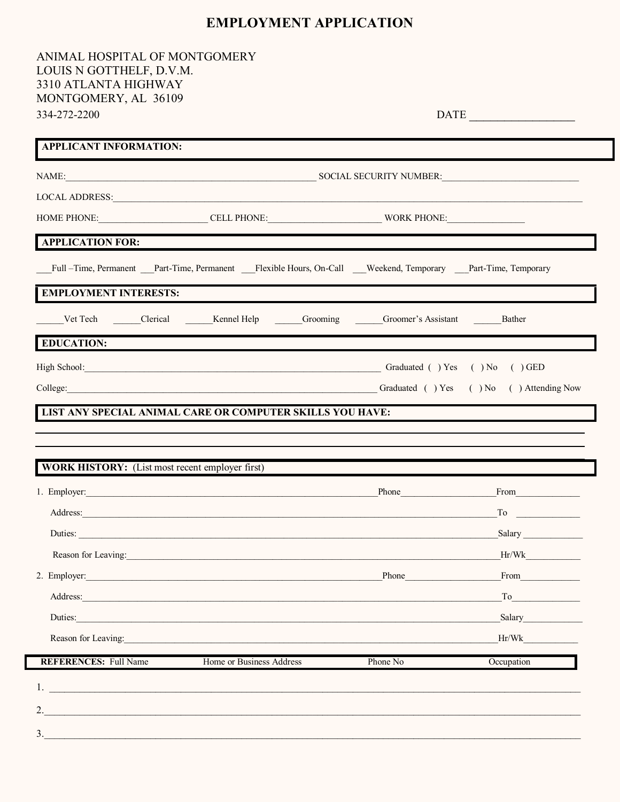## **EMPLOYMENT APPLICATION**

## ANIMAL HOSPITAL OF MONTGOMERY LOUIS N GOTTHELF, D.V.M. 3310 ATLANTA HIGHWAY MONTGOMERY, AL 36109 334-272-2200

|                                                        | HOME PHONE: CELL PHONE: WORK PHONE:                                                                                                                                                                                            |              |            |
|--------------------------------------------------------|--------------------------------------------------------------------------------------------------------------------------------------------------------------------------------------------------------------------------------|--------------|------------|
| <b>APPLICATION FOR:</b>                                | <u> 1989 - Johann Harry Harry Harry Harry Harry Harry Harry Harry Harry Harry Harry Harry Harry Harry Harry Harry</u>                                                                                                          |              |            |
|                                                        | Full - Time, Permanent __Part-Time, Permanent __Flexible Hours, On-Call __Weekend, Temporary __Part-Time, Temporary                                                                                                            |              |            |
| <b>EMPLOYMENT INTERESTS:</b>                           |                                                                                                                                                                                                                                |              |            |
|                                                        | Vet Tech Clerical Kennel Help Grooming Groomer's Assistant Bather                                                                                                                                                              |              |            |
|                                                        | <u> 1989 - Johann Barbara, marka a shekara tsa 1989 - An tsa 1989 - An tsa 1989 - An tsa 1989 - An tsa 1989 - An</u>                                                                                                           |              |            |
| <b>EDUCATION:</b>                                      |                                                                                                                                                                                                                                |              |            |
|                                                        |                                                                                                                                                                                                                                |              |            |
|                                                        | High School: GED Graduated ( ) Yes ( ) No ( ) GED<br>College: Graduated ( ) Yes ( ) No ( ) Attending Now<br>LIST ANY SPECIAL ANIMAL CARE OR COMPUTER SKILLS YOU HAVE:                                                          |              |            |
| <b>WORK HISTORY:</b> (List most recent employer first) |                                                                                                                                                                                                                                |              |            |
|                                                        | 1. Employer: Phone From From From Phone Phone From Phone Phone Phone Phone Phone Phone Phone Phone Phone Phone Phone Phone Phone Phone Phone Phone Phone Phone Phone Phone Phone Phone Phone Phone Phone Phone Phone Phone Pho |              |            |
|                                                        |                                                                                                                                                                                                                                |              | $\Gamma$ o |
|                                                        |                                                                                                                                                                                                                                |              | Salary     |
| Reason for Leaving:                                    |                                                                                                                                                                                                                                |              | Hr/Wk      |
|                                                        |                                                                                                                                                                                                                                | <b>Phone</b> | From       |
|                                                        | Address:                                                                                                                                                                                                                       |              |            |
|                                                        | Duties:                                                                                                                                                                                                                        |              | Salary     |
| <b>REFERENCES:</b> Full Name                           | Reason for Leaving:<br>Home or Business Address                                                                                                                                                                                | Phone No     | Hr/Wk      |